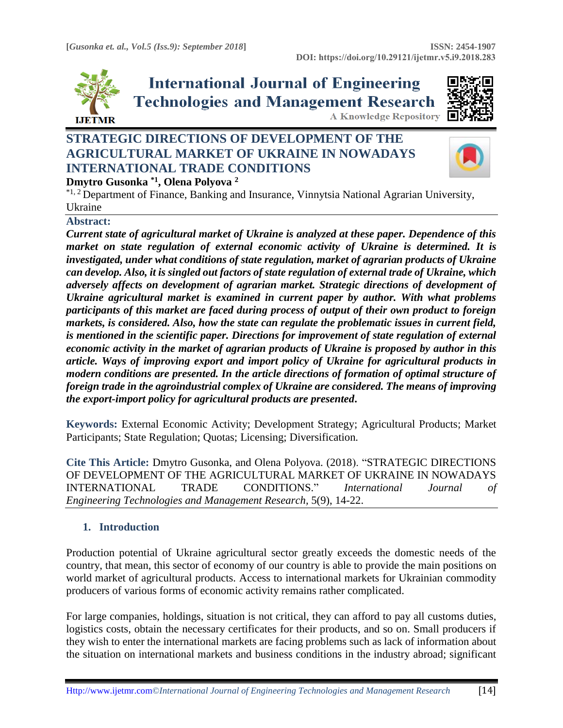

**International Journal of Engineering Technologies and Management Research A Knowledge Repository** 



# **STRATEGIC DIRECTIONS OF DEVELOPMENT OF THE AGRICULTURAL MARKET OF UKRAINE IN NOWADAYS INTERNATIONAL TRADE CONDITIONS**



# **Dmytro Gusonka \*1, Olena Polyova <sup>2</sup>**

\*1, <sup>2</sup> Department of Finance, Banking and Insurance, Vinnytsia National Agrarian University, Ukraine

### **Abstract:**

*Current state of agricultural market of Ukraine is analyzed at these paper. Dependence of this market on state regulation of external economic activity of Ukraine is determined. It is investigated, under what conditions of state regulation, market of agrarian products of Ukraine can develop. Also, it is singled out factors of state regulation of external trade of Ukraine, which adversely affects on development of agrarian market. Strategic directions of development of Ukraine agricultural market is examined in current paper by author. With what problems participants of this market are faced during process of output of their own product to foreign markets, is considered. Also, how the state can regulate the problematic issues in current field, is mentioned in the scientific paper. Directions for improvement of state regulation of external economic activity in the market of agrarian products of Ukraine is proposed by author in this article. Ways of improving export and import policy of Ukraine for agricultural products in modern conditions are presented. In the article directions of formation of optimal structure of foreign trade in the agroindustrial complex of Ukraine are considered. The means of improving the export-import policy for agricultural products are presented***.**

**Keywords:** External Economic Activity; Development Strategy; Agricultural Products; Market Participants; State Regulation; Quotas; Licensing; Diversification*.* 

**Cite This Article:** Dmytro Gusonka, and Olena Polyova. (2018). "STRATEGIC DIRECTIONS OF DEVELOPMENT OF THE AGRICULTURAL MARKET OF UKRAINE IN NOWADAYS INTERNATIONAL TRADE CONDITIONS." *International Journal of Engineering Technologies and Management Research,* 5(9), 14-22.

### **1. Introduction**

Production potential of Ukraine agricultural sector greatly exceeds the domestic needs of the country, that mean, this sector of economy of our country is able to provide the main positions on world market of agricultural products. Access to international markets for Ukrainian commodity producers of various forms of economic activity remains rather complicated.

For large companies, holdings, situation is not critical, they can afford to pay all customs duties, logistics costs, obtain the necessary certificates for their products, and so on. Small producers if they wish to enter the international markets are facing problems such as lack of information about the situation on international markets and business conditions in the industry abroad; significant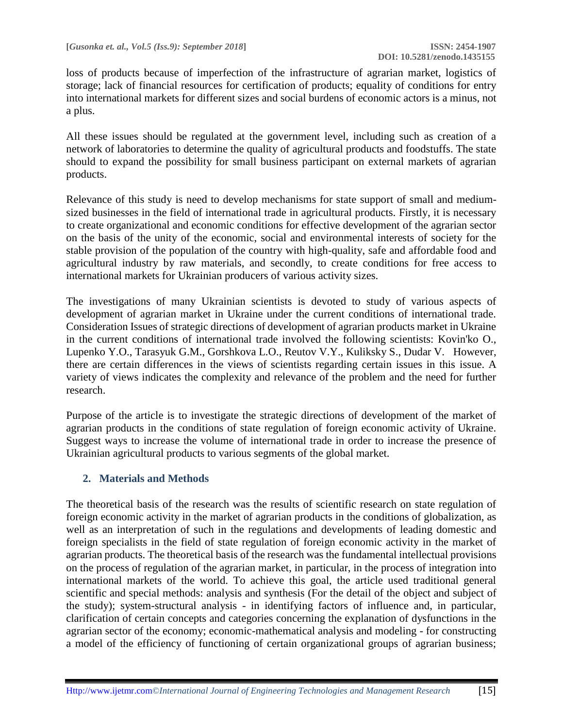loss of products because of imperfection of the infrastructure of agrarian market, logistics of storage; lack of financial resources for certification of products; equality of conditions for entry into international markets for different sizes and social burdens of economic actors is a minus, not a plus.

All these issues should be regulated at the government level, including such as creation of a network of laboratories to determine the quality of agricultural products and foodstuffs. The state should to expand the possibility for small business participant on external markets of agrarian products.

Relevance of this study is need to develop mechanisms for state support of small and mediumsized businesses in the field of international trade in agricultural products. Firstly, it is necessary to create organizational and economic conditions for effective development of the agrarian sector on the basis of the unity of the economic, social and environmental interests of society for the stable provision of the population of the country with high-quality, safe and affordable food and agricultural industry by raw materials, and secondly, to create conditions for free access to international markets for Ukrainian producers of various activity sizes.

The investigations of many Ukrainian scientists is devoted to study of various aspects of development of agrarian market in Ukraine under the current conditions of international trade. Consideration Issues of strategic directions of development of agrarian products market in Ukraine in the current conditions of international trade involved the following scientists: Kovin'ko O., Lupenko Y.O., Tarasyuk G.M., Gorshkova L.O., Reutov V.Y., Kuliksky S., Dudar V. However, there are certain differences in the views of scientists regarding certain issues in this issue. A variety of views indicates the complexity and relevance of the problem and the need for further research.

Purpose of the article is to investigate the strategic directions of development of the market of agrarian products in the conditions of state regulation of foreign economic activity of Ukraine. Suggest ways to increase the volume of international trade in order to increase the presence of Ukrainian agricultural products to various segments of the global market.

## **2. Materials and Methods**

The theoretical basis of the research was the results of scientific research on state regulation of foreign economic activity in the market of agrarian products in the conditions of globalization, as well as an interpretation of such in the regulations and developments of leading domestic and foreign specialists in the field of state regulation of foreign economic activity in the market of agrarian products. The theoretical basis of the research was the fundamental intellectual provisions on the process of regulation of the agrarian market, in particular, in the process of integration into international markets of the world. To achieve this goal, the article used traditional general scientific and special methods: analysis and synthesis (For the detail of the object and subject of the study); system-structural analysis - in identifying factors of influence and, in particular, clarification of certain concepts and categories concerning the explanation of dysfunctions in the agrarian sector of the economy; economic-mathematical analysis and modeling - for constructing a model of the efficiency of functioning of certain organizational groups of agrarian business;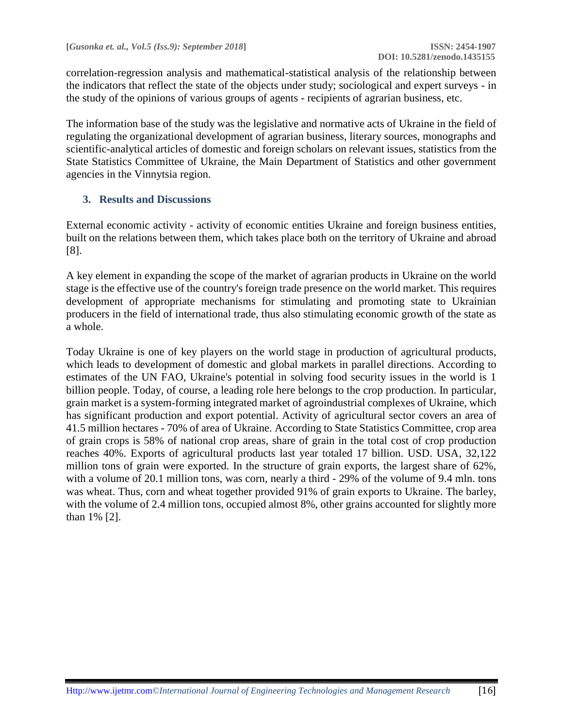correlation-regression analysis and mathematical-statistical analysis of the relationship between the indicators that reflect the state of the objects under study; sociological and expert surveys - in the study of the opinions of various groups of agents - recipients of agrarian business, etc.

The information base of the study was the legislative and normative acts of Ukraine in the field of regulating the organizational development of agrarian business, literary sources, monographs and scientific-analytical articles of domestic and foreign scholars on relevant issues, statistics from the State Statistics Committee of Ukraine, the Main Department of Statistics and other government agencies in the Vinnytsia region.

## **3. Results and Discussions**

External economic activity - activity of economic entities Ukraine and foreign business entities, built on the relations between them, which takes place both on the territory of Ukraine and abroad [8].

A key element in expanding the scope of the market of agrarian products in Ukraine on the world stage is the effective use of the country's foreign trade presence on the world market. This requires development of appropriate mechanisms for stimulating and promoting state to Ukrainian producers in the field of international trade, thus also stimulating economic growth of the state as a whole.

Today Ukraine is one of key players on the world stage in production of agricultural products, which leads to development of domestic and global markets in parallel directions. According to estimates of the UN FAO, Ukraine's potential in solving food security issues in the world is 1 billion people. Today, of course, a leading role here belongs to the crop production. In particular, grain market is a system-forming integrated market of agroindustrial complexes of Ukraine, which has significant production and export potential. Activity of agricultural sector covers an area of 41.5 million hectares - 70% of area of Ukraine. According to State Statistics Committee, crop area of grain crops is 58% of national crop areas, share of grain in the total cost of crop production reaches 40%. Exports of agricultural products last year totaled 17 billion. USD. USA, 32,122 million tons of grain were exported. In the structure of grain exports, the largest share of 62%, with a volume of 20.1 million tons, was corn, nearly a third - 29% of the volume of 9.4 mln. tons was wheat. Thus, corn and wheat together provided 91% of grain exports to Ukraine. The barley, with the volume of 2.4 million tons, occupied almost 8%, other grains accounted for slightly more than 1% [2].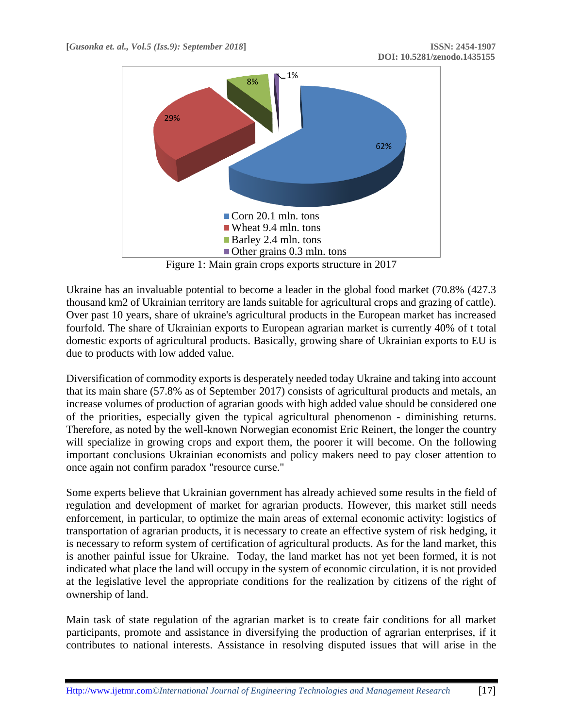

Figure 1: Main grain crops exports structure in 2017

Ukraine has an invaluable potential to become a leader in the global food market (70.8% (427.3 thousand km2 of Ukrainian territory are lands suitable for agricultural crops and grazing of cattle). Over past 10 years, share of ukraine's agricultural products in the European market has increased fourfold. The share of Ukrainian exports to European agrarian market is currently 40% of t total domestic exports of agricultural products. Basically, growing share of Ukrainian exports to EU is due to products with low added value.

Diversification of commodity exports is desperately needed today Ukraine and taking into account that its main share (57.8% as of September 2017) consists of agricultural products and metals, an increase volumes of production of agrarian goods with high added value should be considered one of the priorities, especially given the typical agricultural phenomenon - diminishing returns. Therefore, as noted by the well-known Norwegian economist Eric Reinert, the longer the country will specialize in growing crops and export them, the poorer it will become. On the following important conclusions Ukrainian economists and policy makers need to pay closer attention to once again not confirm paradox "resource curse."

Some experts believe that Ukrainian government has already achieved some results in the field of regulation and development of market for agrarian products. However, this market still needs enforcement, in particular, to optimize the main areas of external economic activity: logistics of transportation of agrarian products, it is necessary to create an effective system of risk hedging, it is necessary to reform system of certification of agricultural products. As for the land market, this is another painful issue for Ukraine. Today, the land market has not yet been formed, it is not indicated what place the land will occupy in the system of economic circulation, it is not provided at the legislative level the appropriate conditions for the realization by citizens of the right of ownership of land.

Main task of state regulation of the agrarian market is to create fair conditions for all market participants, promote and assistance in diversifying the production of agrarian enterprises, if it contributes to national interests. Assistance in resolving disputed issues that will arise in the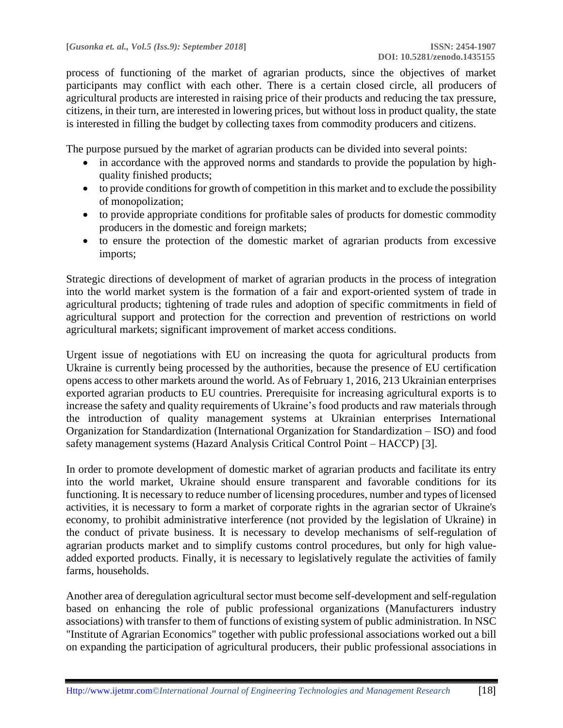process of functioning of the market of agrarian products, since the objectives of market participants may conflict with each other. There is a certain closed circle, all producers of agricultural products are interested in raising price of their products and reducing the tax pressure, citizens, in their turn, are interested in lowering prices, but without loss in product quality, the state is interested in filling the budget by collecting taxes from commodity producers and citizens.

The purpose pursued by the market of agrarian products can be divided into several points:

- in accordance with the approved norms and standards to provide the population by highquality finished products;
- to provide conditions for growth of competition in this market and to exclude the possibility of monopolization;
- to provide appropriate conditions for profitable sales of products for domestic commodity producers in the domestic and foreign markets;
- to ensure the protection of the domestic market of agrarian products from excessive imports;

Strategic directions of development of market of agrarian products in the process of integration into the world market system is the formation of a fair and export-oriented system of trade in agricultural products; tightening of trade rules and adoption of specific commitments in field of agricultural support and protection for the correction and prevention of restrictions on world agricultural markets; significant improvement of market access conditions.

Urgent issue of negotiations with EU on increasing the quota for agricultural products from Ukraine is currently being processed by the authorities, because the presence of EU certification opens access to other markets around the world. As of February 1, 2016, 213 Ukrainian enterprises exported agrarian products to EU countries. Prerequisite for increasing agricultural exports is to increase the safety and quality requirements of Ukraine's food products and raw materials through the introduction of quality management systems at Ukrainian enterprises International Organization for Standardization (International Organization for Standardization – ISO) and food safety management systems (Hazard Analysis Critical Control Point – HACCP) [3].

In order to promote development of domestic market of agrarian products and facilitate its entry into the world market, Ukraine should ensure transparent and favorable conditions for its functioning. It is necessary to reduce number of licensing procedures, number and types of licensed activities, it is necessary to form a market of corporate rights in the agrarian sector of Ukraine's economy, to prohibit administrative interference (not provided by the legislation of Ukraine) in the conduct of private business. It is necessary to develop mechanisms of self-regulation of agrarian products market and to simplify customs control procedures, but only for high valueadded exported products. Finally, it is necessary to legislatively regulate the activities of family farms, households.

Another area of deregulation agricultural sector must become self-development and self-regulation based on enhancing the role of public professional organizations (Manufacturers industry associations) with transfer to them of functions of existing system of public administration. In NSC "Institute of Agrarian Economics" together with public professional associations worked out a bill on expanding the participation of agricultural producers, their public professional associations in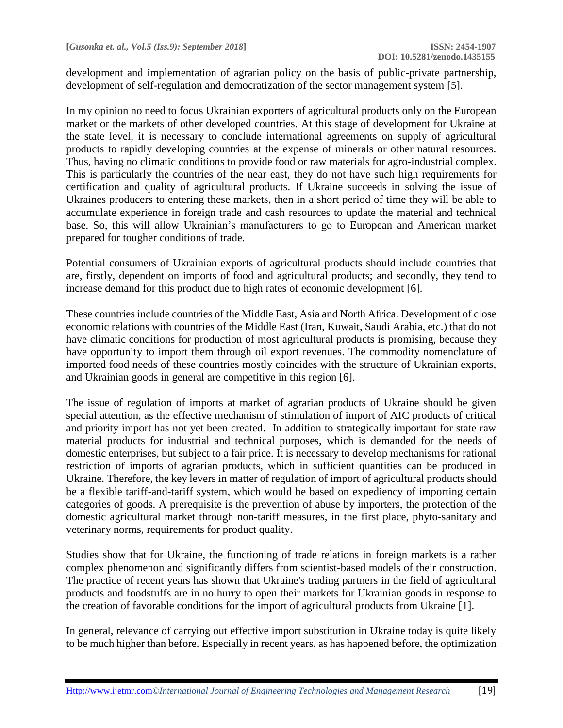development and implementation of agrarian policy on the basis of public-private partnership, development of self-regulation and democratization of the sector management system [5].

In my opinion no need to focus Ukrainian exporters of agricultural products only on the European market or the markets of other developed countries. At this stage of development for Ukraine at the state level, it is necessary to conclude international agreements on supply of agricultural products to rapidly developing countries at the expense of minerals or other natural resources. Thus, having no climatic conditions to provide food or raw materials for agro-industrial complex. This is particularly the countries of the near east, they do not have such high requirements for certification and quality of agricultural products. If Ukraine succeeds in solving the issue of Ukraines producers to entering these markets, then in a short period of time they will be able to accumulate experience in foreign trade and cash resources to update the material and technical base. So, this will allow Ukrainian's manufacturers to go to European and American market prepared for tougher conditions of trade.

Potential consumers of Ukrainian exports of agricultural products should include countries that are, firstly, dependent on imports of food and agricultural products; and secondly, they tend to increase demand for this product due to high rates of economic development [6].

These countries include countries of the Middle East, Asia and North Africa. Development of close economic relations with countries of the Middle East (Iran, Kuwait, Saudi Arabia, etc.) that do not have climatic conditions for production of most agricultural products is promising, because they have opportunity to import them through oil export revenues. The commodity nomenclature of imported food needs of these countries mostly coincides with the structure of Ukrainian exports, and Ukrainian goods in general are competitive in this region [6].

The issue of regulation of imports at market of agrarian products of Ukraine should be given special attention, as the effective mechanism of stimulation of import of AIC products of critical and priority import has not yet been created. In addition to strategically important for state raw material products for industrial and technical purposes, which is demanded for the needs of domestic enterprises, but subject to a fair price. It is necessary to develop mechanisms for rational restriction of imports of agrarian products, which in sufficient quantities can be produced in Ukraine. Therefore, the key levers in matter of regulation of import of agricultural products should be a flexible tariff-and-tariff system, which would be based on expediency of importing certain categories of goods. A prerequisite is the prevention of abuse by importers, the protection of the domestic agricultural market through non-tariff measures, in the first place, phyto-sanitary and veterinary norms, requirements for product quality.

Studies show that for Ukraine, the functioning of trade relations in foreign markets is a rather complex phenomenon and significantly differs from scientist-based models of their construction. The practice of recent years has shown that Ukraine's trading partners in the field of agricultural products and foodstuffs are in no hurry to open their markets for Ukrainian goods in response to the creation of favorable conditions for the import of agricultural products from Ukraine [1].

In general, relevance of carrying out effective import substitution in Ukraine today is quite likely to be much higher than before. Especially in recent years, as has happened before, the optimization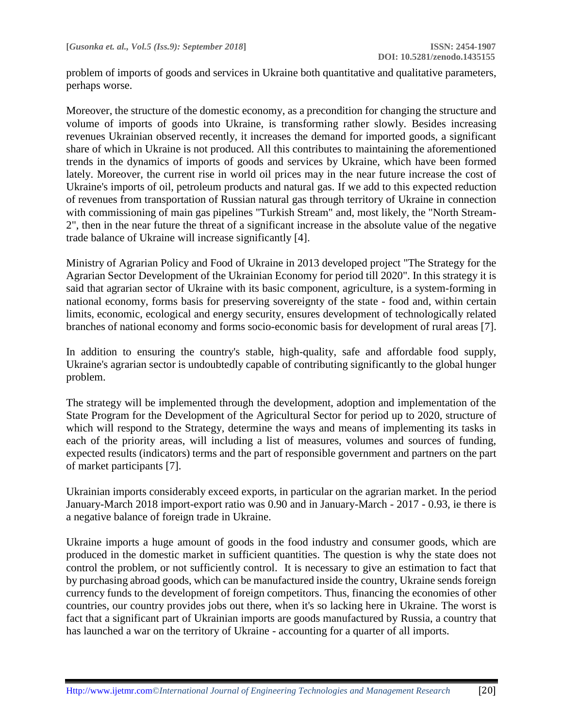problem of imports of goods and services in Ukraine both quantitative and qualitative parameters, perhaps worse.

Moreover, the structure of the domestic economy, as a precondition for changing the structure and volume of imports of goods into Ukraine, is transforming rather slowly. Besides increasing revenues Ukrainian observed recently, it increases the demand for imported goods, a significant share of which in Ukraine is not produced. All this contributes to maintaining the aforementioned trends in the dynamics of imports of goods and services by Ukraine, which have been formed lately. Moreover, the current rise in world oil prices may in the near future increase the cost of Ukraine's imports of oil, petroleum products and natural gas. If we add to this expected reduction of revenues from transportation of Russian natural gas through territory of Ukraine in connection with commissioning of main gas pipelines "Turkish Stream" and, most likely, the "North Stream-2", then in the near future the threat of a significant increase in the absolute value of the negative trade balance of Ukraine will increase significantly [4].

Ministry of Agrarian Policy and Food of Ukraine in 2013 developed project "The Strategy for the Agrarian Sector Development of the Ukrainian Economy for period till 2020". In this strategy it is said that agrarian sector of Ukraine with its basic component, agriculture, is a system-forming in national economy, forms basis for preserving sovereignty of the state - food and, within certain limits, economic, ecological and energy security, ensures development of technologically related branches of national economy and forms socio-economic basis for development of rural areas [7].

In addition to ensuring the country's stable, high-quality, safe and affordable food supply, Ukraine's agrarian sector is undoubtedly capable of contributing significantly to the global hunger problem.

The strategy will be implemented through the development, adoption and implementation of the State Program for the Development of the Agricultural Sector for period up to 2020, structure of which will respond to the Strategy, determine the ways and means of implementing its tasks in each of the priority areas, will including a list of measures, volumes and sources of funding, expected results (indicators) terms and the part of responsible government and partners on the part of market participants [7].

Ukrainian imports considerably exceed exports, in particular on the agrarian market. In the period January-March 2018 import-export ratio was 0.90 and in January-March - 2017 - 0.93, ie there is a negative balance of foreign trade in Ukraine.

Ukraine imports a huge amount of goods in the food industry and consumer goods, which are produced in the domestic market in sufficient quantities. The question is why the state does not control the problem, or not sufficiently control. It is necessary to give an estimation to fact that by purchasing abroad goods, which can be manufactured inside the country, Ukraine sends foreign currency funds to the development of foreign competitors. Thus, financing the economies of other countries, our country provides jobs out there, when it's so lacking here in Ukraine. The worst is fact that a significant part of Ukrainian imports are goods manufactured by Russia, a country that has launched a war on the territory of Ukraine - accounting for a quarter of all imports.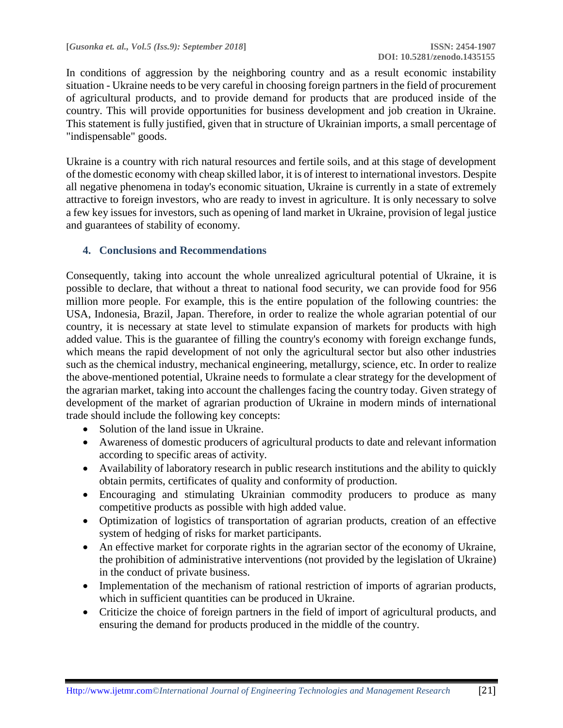In conditions of aggression by the neighboring country and as a result economic instability situation - Ukraine needs to be very careful in choosing foreign partners in the field of procurement of agricultural products, and to provide demand for products that are produced inside of the country. This will provide opportunities for business development and job creation in Ukraine. This statement is fully justified, given that in structure of Ukrainian imports, a small percentage of "indispensable" goods.

Ukraine is a country with rich natural resources and fertile soils, and at this stage of development of the domestic economy with cheap skilled labor, it is of interest to international investors. Despite all negative phenomena in today's economic situation, Ukraine is currently in a state of extremely attractive to foreign investors, who are ready to invest in agriculture. It is only necessary to solve a few key issues for investors, such as opening of land market in Ukraine, provision of legal justice and guarantees of stability of economy.

## **4. Conclusions and Recommendations**

Consequently, taking into account the whole unrealized agricultural potential of Ukraine, it is possible to declare, that without a threat to national food security, we can provide food for 956 million more people. For example, this is the entire population of the following countries: the USA, Indonesia, Brazil, Japan. Therefore, in order to realize the whole agrarian potential of our country, it is necessary at state level to stimulate expansion of markets for products with high added value. This is the guarantee of filling the country's economy with foreign exchange funds, which means the rapid development of not only the agricultural sector but also other industries such as the chemical industry, mechanical engineering, metallurgy, science, etc. In order to realize the above-mentioned potential, Ukraine needs to formulate a clear strategy for the development of the agrarian market, taking into account the challenges facing the country today. Given strategy of development of the market of agrarian production of Ukraine in modern minds of international trade should include the following key concepts:

- Solution of the land issue in Ukraine.
- Awareness of domestic producers of agricultural products to date and relevant information according to specific areas of activity.
- Availability of laboratory research in public research institutions and the ability to quickly obtain permits, certificates of quality and conformity of production.
- Encouraging and stimulating Ukrainian commodity producers to produce as many competitive products as possible with high added value.
- Optimization of logistics of transportation of agrarian products, creation of an effective system of hedging of risks for market participants.
- An effective market for corporate rights in the agrarian sector of the economy of Ukraine, the prohibition of administrative interventions (not provided by the legislation of Ukraine) in the conduct of private business.
- Implementation of the mechanism of rational restriction of imports of agrarian products, which in sufficient quantities can be produced in Ukraine.
- Criticize the choice of foreign partners in the field of import of agricultural products, and ensuring the demand for products produced in the middle of the country.